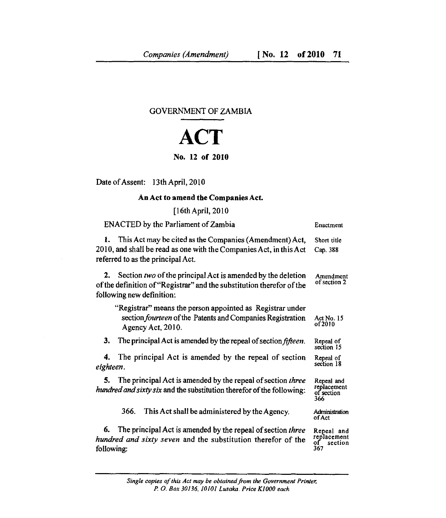## GOVERNMENT OF ZAMBIA

## **ACT** No. 12 of 2010

Date of Assent: 13th April, 2010

## An Act to amend the Companies Act.

[16th April, 2010

| <b>ENACTED</b> by the Parliament of Zambia                                                                                                                               | Enactment                                         |
|--------------------------------------------------------------------------------------------------------------------------------------------------------------------------|---------------------------------------------------|
| This Act may be cited as the Companies (Amendment) Act,<br>1.<br>2010, and shall be read as one with the Companies Act, in this Act<br>referred to as the principal Act. | Short title<br>Cap. 388                           |
| 2. Section two of the principal Act is amended by the deletion<br>of the definition of "Registrar" and the substitution therefor of the<br>following new definition:     | Amendment<br>of section 2                         |
| "Registrar" means the person appointed as Registrar under<br>section <i>fourteen</i> of the Patents and Companies Registration<br>Agency Act, 2010.                      | Act No. 15<br>of 2010                             |
| 3.<br>The principal Act is amended by the repeal of section <i>fifteen</i> .                                                                                             | Repeal of<br>section 15                           |
| The principal Act is amended by the repeal of section<br>4.<br>eighteen.                                                                                                 | Repeal of<br>section 18                           |
| The principal Act is amended by the repeal of section three<br>5.<br><i>hundred and sixty six</i> and the substitution therefor of the following:                        | Repeal and<br>replacement<br>of section<br>366    |
| 366.<br>This Act shall be administered by the Agency.                                                                                                                    | Administration<br>of Act                          |
| The principal Act is amended by the repeal of section three<br>6.<br>hundred and sixty seven and the substitution therefor of the<br>following:                          | Repeal and<br>replacement<br>оf<br>section<br>367 |

*Single copies of this Act may be obtained from the Government Printer, P. 0. Box 30136, 10101 Lusaka. Price K1000 each*